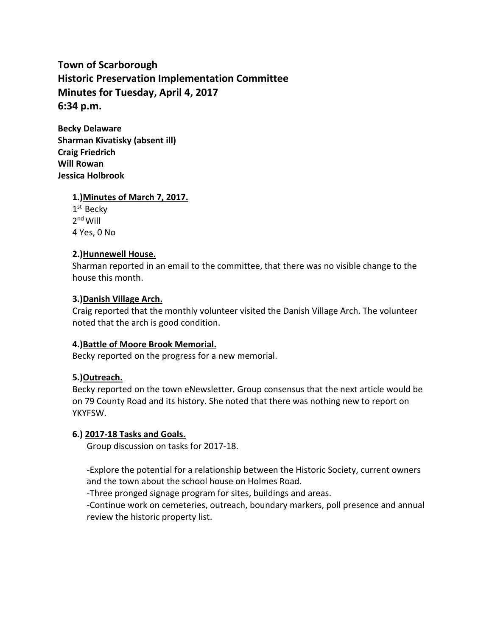**Town of Scarborough Historic Preservation Implementation Committee Minutes for Tuesday, April 4, 2017 6:34 p.m.**

**Becky Delaware Sharman Kivatisky (absent ill) Craig Friedrich Will Rowan Jessica Holbrook**

**1.)Minutes of March 7, 2017.**

1<sup>st</sup> Becky 2<sup>nd</sup> Will 4 Yes, 0 No

# **2.)Hunnewell House.**

Sharman reported in an email to the committee, that there was no visible change to the house this month.

# **3.)Danish Village Arch.**

Craig reported that the monthly volunteer visited the Danish Village Arch. The volunteer noted that the arch is good condition.

### **4.)Battle of Moore Brook Memorial.**

Becky reported on the progress for a new memorial.

### **5.)Outreach.**

Becky reported on the town eNewsletter. Group consensus that the next article would be on 79 County Road and its history. She noted that there was nothing new to report on YKYFSW.

### **6.) 2017-18 Tasks and Goals.**

Group discussion on tasks for 2017-18.

-Explore the potential for a relationship between the Historic Society, current owners and the town about the school house on Holmes Road.

-Three pronged signage program for sites, buildings and areas.

-Continue work on cemeteries, outreach, boundary markers, poll presence and annual review the historic property list.